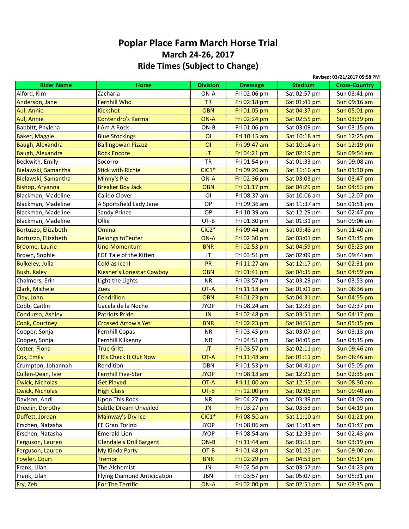## **Poplar Place Farm March Horse Trial March 24‐26, 2017 Ride Times (Subject to Change)**

|                         | Revised: 03/21/2017 05:58 PM       |                 |                 |                |                      |
|-------------------------|------------------------------------|-----------------|-----------------|----------------|----------------------|
| <b>Rider Name</b>       | Horse                              | <b>Division</b> | <b>Dressage</b> | <b>Stadium</b> | <b>Cross-Country</b> |
| Alford, Kim             | Zacharia                           | ON-A            | Fri 02:06 pm    | Sat 02:57 pm   | Sun 03:41 pm         |
| Anderson, Jane          | <b>Fernhill Who</b>                | <b>TR</b>       | Fri 02:18 pm    | Sat 01:41 pm   | Sun 09:16 am         |
| Aul, Annie              | <b>Kickshot</b>                    | <b>OBN</b>      | Fri 01:05 pm    | Sat 04:37 pm   | Sun 05:01 pm         |
| Aul, Annie              | Contendro's Karma                  | ON-A            | Fri 02:24 pm    | Sat 02:55 pm   | Sun 03:39 pm         |
| Babbitt, Phylena        | I Am A Rock                        | $ON-B$          | Fri 01:06 pm    | Sat 03:09 pm   | Sun 03:15 pm         |
| <b>Baker, Maggie</b>    | <b>Blue Stockings</b>              | O <sub>1</sub>  | Fri 10:15 am    | Sat 10:18 am   | Sun 12:25 pm         |
| Baugh, Alexandra        | <b>Ballingowan Pizazz</b>          | O <sub>1</sub>  | Fri 09:47 am    | Sat 10:14 am   | Sun 12:19 pm         |
| Baugh, Alexandra        | <b>Rock Encore</b>                 | JT              | Fri 04:21 pm    | Sat 02:19 pm   | Sun 09:54 am         |
| Beckwith, Emily         | Socorro                            | <b>TR</b>       | Fri 01:54 pm    | Sat 01:33 pm   | Sun 09:08 am         |
| Bielawski, Samantha     | <b>Stick with Richie</b>           | $CIC1*$         | Fri 09:20 am    | Sat 11:16 am   | Sun 01:30 pm         |
| Bielawski, Samantha     | Minny's Pie                        | ON-A            | Fri 02:36 pm    | Sat 03:03 pm   | Sun 03:47 pm         |
| <b>Bishop, Aryanna</b>  | <b>Breaker Boy Jack</b>            | <b>OBN</b>      | Fri 01:17 pm    | Sat 04:29 pm   | Sun 04:53 pm         |
| Blackman, Madeline      | Calido Clover                      | OI              | Fri 08:37 am    | Sat 10:06 am   | Sun 12:07 pm         |
| Blackman, Madeline      | A Sportsfield Lady Jane            | OP              | Fri 09:36 am    | Sat 11:37 am   | Sun 01:51 pm         |
| Blackman, Madeline      | Sandy Prince                       | OP              | Fri 10:39 am    | Sat 12:29 pm   | Sun 02:47 pm         |
| Blackman, Madeline      | Ollie                              | OT-B            | Fri 01:30 pm    | Sat 01:31 pm   | Sun 09:06 am         |
| Bortuzzo, Elizabeth     | Omina                              | $CIC2*$         | Fri 09:44 am    | Sat 09:43 am   | Sun 11:40 am         |
| Bortuzzo, Elizabeth     | <b>Belongs toTeufer</b>            | ON-A            | Fri 02:30 pm    | Sat 03:01 pm   | Sun 03:45 pm         |
| <b>Broome, Laurie</b>   | <b>Uno Momentum</b>                | <b>BNR</b>      | Fri 02:53 pm    | Sat 04:59 pm   | Sun 05:23 pm         |
| Brown, Sophie           | FGF Tale of the Kitten             | JT              | Fri 03:51 pm    | Sat 02:09 pm   | Sun 09:44 am         |
| <b>Bulkeley, Julia</b>  | Cold as Ice II                     | PR              | Fri 11:27 am    | Sat 12:17 pm   | Sun 02:31 pm         |
| <b>Bush, Kaley</b>      | <b>Kiesner's Lonestar Cowboy</b>   | <b>OBN</b>      | Fri 01:41 pm    | Sat 04:35 pm   | Sun 04:59 pm         |
| Chalmers, Erin          | Light the Lights                   | <b>NR</b>       | Fri 03:57 pm    | Sat 03:29 pm   | Sun 03:53 pm         |
| Clark, Michele          | <b>Zues</b>                        | OT-A            | Fri 11:18 am    | Sat 01:01 pm   | Sun 08:36 am         |
| Clay, John              | Cendrillon                         | <b>OBN</b>      | Fri 01:23 pm    | Sat 04:31 pm   | Sun 04:55 pm         |
| Cobb, Caitlin           | Gacela de la Noche                 | <b>JYOP</b>     | Fri 08:24 am    | Sat 12:23 pm   | Sun 02:37 pm         |
| <b>Condurso, Ashley</b> | <b>Patriots Pride</b>              | <b>JN</b>       | Fri 02:48 pm    | Sat 03:51 pm   | Sun 04:17 pm         |
| Cook, Courtney          | <b>Crossed Arrow's Yeti</b>        | <b>BNR</b>      | Fri 02:23 pm    | Sat 04:51 pm   | Sun 05:15 pm         |
| Cooper, Sonja           | Fernhill Copas                     | <b>NR</b>       | Fri 03:45 pm    | Sat 03:07 pm   | Sun 03:13 pm         |
| Cooper, Sonja           | Fernhill Kilkenny                  | <b>NR</b>       | Fri 04:51 pm    | Sat 04:05 pm   | Sun 04:15 pm         |
| Cotter, Fiona           | <b>True Gritt</b>                  | JT              | Fri 03:57 pm    | Sat 02:11 pm   | Sun 09:46 am         |
| Cox, Emily              | FR's Check It Out Now              | OT-A            | Fri 11:48 am    | Sat 01:11 pm   | Sun 08:46 am         |
| Crumpton, Johannah      | Rendition                          | <b>OBN</b>      | Fri 01:53 pm    | Sat 04:41 pm   | Sun 05:05 pm         |
| Cullen-Dean, Ivie       | <b>Fernhill Five-Star</b>          | <b>JYOP</b>     | Fri 08:18 am    | Sat 12:21 pm   | Sun 02:35 pm         |
| Cwick, Nicholas         | <b>Get Played</b>                  | OT-A            | Fri 11:00 am    | Sat 12:55 pm   | Sun 08:30 am         |
| <b>Cwick, Nicholas</b>  | <b>High Class</b>                  | OT-B            | Fri 12:00 pm    | Sat 02:05 pm   | Sun 09:40 am         |
| Davison, Andi           | <b>Upon This Rock</b>              | <b>NR</b>       | Fri 04:27 pm    | Sat 03:39 pm   | Sun 04:03 pm         |
| Dreelin, Dorothy        | <b>Subtle Dream Unveiled</b>       | JN              | Fri 03:27 pm    | Sat 03:53 pm   | Sun 04:19 pm         |
| Duffett, Jordan         | Mainway's Dry Ice                  | $ClC1*$         | Fri 08:50 am    | Sat 11:10 am   | Sun 01:21 pm         |
| Erschen, Natasha        | FE Gran Torino                     | <b>JYOP</b>     | Fri 08:06 am    | Sat 11:41 am   | Sun 01:47 pm         |
| Erschen, Natasha        | <b>Emerald Lion</b>                | <b>JYOP</b>     | Fri 08:54 am    | Sat 12:33 pm   | Sun 02:43 pm         |
| Ferguson, Lauren        | <b>Glendale's Drill Sargent</b>    | $ON-B$          | Fri 11:44 am    | Sat 03:13 pm   | Sun 03:19 pm         |
| Ferguson, Lauren        | <b>My Kinda Party</b>              | OT-B            | Fri 01:48 pm    | Sat 01:25 pm   | Sun 09:00 am         |
| Fowler, Court           | <b>Tremor</b>                      | <b>BNR</b>      | Fri 02:29 pm    | Sat 04:53 pm   | Sun 05:17 pm         |
| Frank, Lilah            | The Alchemist                      | JN              | Fri 02:54 pm    | Sat 03:57 pm   | Sun 04:23 pm         |
| Frank, Lilah            | <b>Flying Diamond Anticipation</b> | <b>JBN</b>      | Fri 03:57 pm    | Sat 05:07 pm   | Sun 05:31 pm         |
| Fry, Zeb                | <b>Eor The Terrific</b>            | $ON-A$          | Fri 02:00 pm    | Sat 02:51 pm   | Sun 03:35 pm         |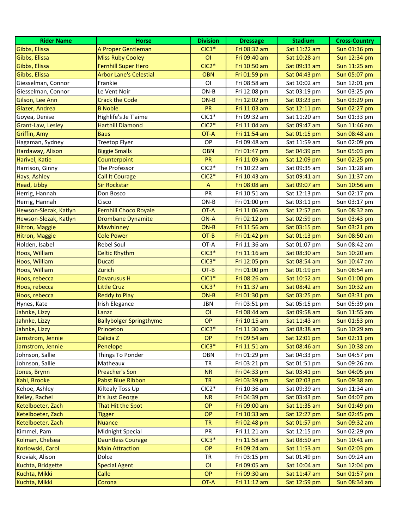| <b>Rider Name</b>     | <b>Horse</b>                   | <b>Division</b> | <b>Dressage</b> | <b>Stadium</b> | <b>Cross-Country</b> |
|-----------------------|--------------------------------|-----------------|-----------------|----------------|----------------------|
| Gibbs, Elissa         | A Proper Gentleman             | $CIC1*$         | Fri 08:32 am    | Sat 11:22 am   | Sun 01:36 pm         |
| Gibbs, Elissa         | <b>Miss Ruby Cooley</b>        | O <sub>1</sub>  | Fri 09:40 am    | Sat 10:28 am   | Sun 12:34 pm         |
| Gibbs, Elissa         | <b>Fernhill Super Hero</b>     | $CIC2*$         | Fri 10:50 am    | Sat 09:33 am   | Sun 11:25 am         |
| Gibbs, Elissa         | <b>Arbor Lane's Celestial</b>  | <b>OBN</b>      | Fri 01:59 pm    | Sat 04:43 pm   | Sun 05:07 pm         |
| Giesselman, Connor    | Frankie                        | O <sub>1</sub>  | Fri 08:58 am    | Sat 10:02 am   | Sun 12:01 pm         |
| Giesselman, Connor    | Le Vent Noir                   | $ON-B$          | Fri 12:08 pm    | Sat 03:19 pm   | Sun 03:25 pm         |
| Gilson, Lee Ann       | <b>Crack the Code</b>          | $ON-B$          | Fri 12:02 pm    | Sat 03:23 pm   | Sun 03:29 pm         |
| Glazer, Andrea        | <b>B</b> Noble                 | <b>PR</b>       | Fri 11:03 am    | Sat 12:11 pm   | Sun 02:27 pm         |
| Goyea, Denise         | Highlife's Je T'aime           | $ClC1*$         | Fri 09:32 am    | Sat 11:20 am   | Sun 01:33 pm         |
| Grant-Law, Lesley     | <b>Harthill Diamond</b>        | $CIC2*$         | Fri 11:04 am    | Sat 09:47 am   | Sun 11:46 am         |
| <b>Griffin, Amy</b>   | <b>Baus</b>                    | OT-A            | Fri 11:54 am    | Sat 01:15 pm   | Sun 08:48 am         |
| Hagaman, Sydney       | <b>Treetop Flyer</b>           | OP              | Fri 09:48 am    | Sat 11:59 am   | Sun 02:09 pm         |
| Hardaway, Alison      | <b>Biggie Smalls</b>           | <b>OBN</b>      | Fri 01:47 pm    | Sat 04:39 pm   | Sun 05:03 pm         |
| Harivel, Katie        | Counterpoint                   | PR              | Fri 11:09 am    | Sat 12:09 pm   | Sun 02:25 pm         |
| Harrison, Ginny       | The Professor                  | $ClC2*$         | Fri 10:22 am    | Sat 09:35 am   | Sun 11:28 am         |
| Hays, Ashley          | <b>Call It Courage</b>         | $CIC2*$         | Fri 10:43 am    | Sat 09:41 am   | Sun 11:37 am         |
| Head, Libby           | <b>Sir Rockstar</b>            | $\overline{A}$  | Fri 08:08 am    | Sat 09:07 am   | Sun 10:56 am         |
| Herrig, Hannah        | Don Bosco                      | PR              | Fri 10:51 am    | Sat 12:13 pm   | Sun 02:17 pm         |
| Herrig, Hannah        | Cisco                          | $ON-B$          | Fri 01:00 pm    | Sat 03:11 pm   | Sun 03:17 pm         |
| Hewson-Slezak, Katlyn | <b>Fernhill Choco Royale</b>   | OT-A            | Fri 11:06 am    | Sat 12:57 pm   | Sun 08:32 am         |
| Hewson-Slezak, Katlyn | <b>Drombane Dynamite</b>       | ON-A            | Fri 02:12 pm    | Sat 02:59 pm   | Sun 03:43 pm         |
| Hitron, Maggie        | <b>Mawhinney</b>               | $ON-B$          | Fri 11:56 am    | Sat 03:15 pm   | Sun 03:21 pm         |
| Hitron, Maggie        | <b>Cole Power</b>              | OT-B            | Fri 01:42 pm    | Sat 01:13 pm   | Sun 08:50 am         |
| Holden, Isabel        | <b>Rebel Soul</b>              | OT-A            | Fri 11:36 am    | Sat 01:07 pm   | Sun 08:42 am         |
| Hoos, William         | Celtic Rhythm                  | $CIC3*$         | Fri 11:16 am    | Sat 08:30 am   | Sun 10:20 am         |
| Hoos, William         | <b>Ducati</b>                  | $CIC3*$         | Fri 12:05 pm    | Sat 08:54 am   | Sun 10:47 am         |
| Hoos, William         | Zurich                         | OT-B            | Fri 01:00 pm    | Sat 01:19 pm   | Sun 08:54 am         |
| Hoos, rebecca         | <b>Davarusus H</b>             | $CIC1*$         | Fri 08:26 am    | Sat 10:52 am   | Sun 01:00 pm         |
| Hoos, rebecca         | <b>Little Cruz</b>             | $CIC3*$         | Fri 11:37 am    | Sat 08:42 am   | Sun 10:32 am         |
| Hoos, rebecca         | <b>Reddy to Play</b>           | ON-B            | Fri 01:30 pm    | Sat 03:25 pm   | Sun 03:31 pm         |
| Hynes, Kate           | Irish Elegance                 | <b>JBN</b>      | Fri 03:51 pm    | Sat 05:15 pm   | Sun 05:39 pm         |
| Jahnke, Lizzy         | Lanzz                          | O <sub>1</sub>  | Fri 08:44 am    | Sat 09:58 am   | Sun 11:55 am         |
| Jahnke, Lizzy         | <b>Ballybolger Springthyme</b> | OP              | Fri 10:15 am    | Sat 11:43 am   | Sun 01:53 pm         |
| Jahnke, Lizzy         | Princeton                      | $CIC3*$         | Fri 11:30 am    | Sat 08:38 am   | Sun 10:29 am         |
| Jarnstrom, Jennie     | Calicia <sub>Z</sub>           | OP              | Fri 09:54 am    | Sat 12:01 pm   | Sun 02:11 pm         |
| Jarnstrom, Jennie     | Penelope                       | $CIC3*$         | Fri 11:51 am    | Sat 08:46 am   | Sun 10:38 am         |
| Johnson, Sallie       | Things To Ponder               | <b>OBN</b>      | Fri 01:29 pm    | Sat 04:33 pm   | Sun 04:57 pm         |
| Johnson, Sallie       | Matheaux                       | <b>TR</b>       | Fri 03:21 pm    | Sat 01:51 pm   | Sun 09:26 am         |
| Jones, Brynn          | <b>Preacher's Son</b>          | <b>NR</b>       | Fri 04:33 pm    | Sat 03:41 pm   | Sun 04:05 pm         |
| Kahl, Brooke          | Pabst Blue Ribbon              | <b>TR</b>       | Fri 03:39 pm    | Sat 02:03 pm   | Sun 09:38 am         |
| Kehoe, Ashley         | Kiltealy Toss Up               | $CIC2*$         | Fri 10:36 am    | Sat 09:39 am   | Sun 11:34 am         |
| Kelley, Rachel        | It's Just George               | <b>NR</b>       | Fri 04:39 pm    | Sat 03:43 pm   | Sun 04:07 pm         |
| Ketelboeter, Zach     | That Hit the Spot              | OP              | Fri 09:00 am    | Sat 11:35 am   | Sun 01:49 pm         |
| Ketelboeter, Zach     | <b>Tigger</b>                  | <b>OP</b>       | Fri 10:33 am    | Sat 12:27 pm   | Sun 02:45 pm         |
| Ketelboeter, Zach     | <b>Nuance</b>                  | <b>TR</b>       | Fri 02:48 pm    | Sat 01:57 pm   | Sun 09:32 am         |
| Kimmel, Pam           | Midnight Special               | PR              | Fri 11:21 am    | Sat 12:15 pm   | Sun 02:29 pm         |
| Kolman, Chelsea       | <b>Dauntless Courage</b>       | $CIC3*$         | Fri 11:58 am    | Sat 08:50 am   | Sun 10:41 am         |
| Kozlowski, Carol      | <b>Main Attraction</b>         | <b>OP</b>       | Fri 09:24 am    | Sat 11:53 am   | Sun 02:03 pm         |
| Kroviak, Alison       | Dolce                          | TR              | Fri 03:15 pm    | Sat 01:49 pm   | Sun 09:24 am         |
| Kuchta, Bridgette     | <b>Special Agent</b>           | O <sub>1</sub>  | Fri 09:05 am    | Sat 10:04 am   | Sun 12:04 pm         |
| Kuchta, Mikki         | Calle                          | <b>OP</b>       | Fri 09:30 am    | Sat 11:47 am   | Sun 01:57 pm         |
| Kuchta, Mikki         | Corona                         | OT-A            | Fri 11:12 am    | Sat 12:59 pm   | Sun 08:34 am         |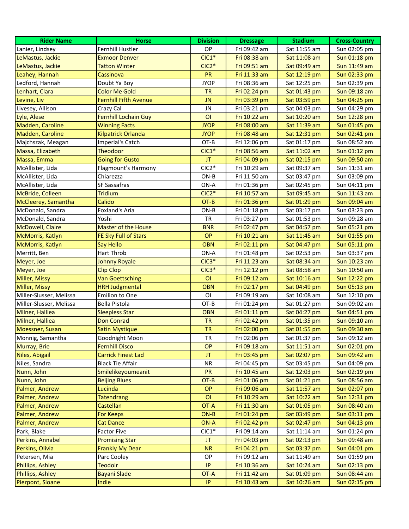| <b>Rider Name</b>       | <b>Horse</b>                 | <b>Division</b> | <b>Dressage</b> | <b>Stadium</b> | <b>Cross-Country</b> |
|-------------------------|------------------------------|-----------------|-----------------|----------------|----------------------|
| Lanier, Lindsey         | Fernhill Hustler             | OP              | Fri 09:42 am    | Sat 11:55 am   | Sun 02:05 pm         |
| LeMastus, Jackie        | <b>Exmoor Denver</b>         | $CIC1*$         | Fri 08:38 am    | Sat 11:08 am   | Sun 01:18 pm         |
| LeMastus, Jackie        | <b>Tatton Winter</b>         | $CIC2*$         | Fri 09:51 am    | Sat 09:49 am   | Sun 11:49 am         |
| Leahey, Hannah          | Cassinova                    | <b>PR</b>       | Fri 11:33 am    | Sat 12:19 pm   | Sun 02:33 pm         |
| Ledford, Hannah         | Doubt Ya Boy                 | <b>JYOP</b>     | Fri 08:36 am    | Sat 12:25 pm   | Sun 02:39 pm         |
| Lenhart, Clara          | <b>Color Me Gold</b>         | <b>TR</b>       | Fri 02:24 pm    | Sat 01:43 pm   | Sun 09:18 am         |
| Levine, Liv             | <b>Fernhill Fifth Avenue</b> | JN              | Fri 03:39 pm    | Sat 03:59 pm   | Sun 04:25 pm         |
| Livesey, Allison        | Crazy Cal                    | JN              | Fri 03:21 pm    | Sat 04:03 pm   | Sun 04:29 pm         |
| Lyle, Alese             | <b>Fernhill Lochain Guy</b>  | O <sub>1</sub>  | Fri 10:22 am    | Sat 10:20 am   | Sun 12:28 pm         |
| Madden, Caroline        | <b>Winning Facts</b>         | <b>JYOP</b>     | Fri 08:00 am    | Sat 11:39 am   | Sun 01:45 pm         |
| Madden, Caroline        | <b>Kilpatrick Orlanda</b>    | <b>JYOP</b>     | Fri 08:48 am    | Sat 12:31 pm   | Sun 02:41 pm         |
| Majchszak, Meagan       | Imperial's Catch             | OT-B            | Fri 12:06 pm    | Sat 01:17 pm   | Sun 08:52 am         |
| Massa, Elizabeth        | Theodoor                     | $ClC1*$         | Fri 08:56 am    | Sat 11:02 am   | Sun 01:12 pm         |
| Massa, Emma             | <b>Going for Gusto</b>       | JT              | Fri 04:09 pm    | Sat 02:15 pm   | Sun 09:50 am         |
| McAllister, Lida        | Flagmount's Harmony          | $CIC2*$         | Fri 10:29 am    | Sat 09:37 am   | Sun 11:31 am         |
| McAllister, Lida        | Chiarezza                    | $ON-B$          | Fri 11:50 am    | Sat 03:47 pm   | Sun 03:09 pm         |
| McAllister, Lida        | SF Sassafras                 | ON-A            | Fri 01:36 pm    | Sat 02:45 pm   | Sun 04:11 pm         |
| McBride, Colleen        | Tridium                      | $CIC2*$         | Fri 10:57 am    | Sat 09:45 am   | Sun 11:43 am         |
| McCleerey, Samantha     | Calido                       | OT-B            | Fri 01:36 pm    | Sat 01:29 pm   | Sun 09:04 am         |
| McDonald, Sandra        | Foxland's Aria               | $ON-B$          | Fri 01:18 pm    | Sat 03:17 pm   | Sun 03:23 pm         |
| McDonald, Sandra        | Yoshi                        | <b>TR</b>       | Fri 03:27 pm    | Sat 01:53 pm   | Sun 09:28 am         |
| <b>McDowell, Claire</b> | <b>Master of the House</b>   | <b>BNR</b>      | Fri 02:47 pm    | Sat 04:57 pm   | Sun 05:21 pm         |
| McMorris, Katlyn        | FE Sky Full of Stars         | OP              | Fri 10:21 am    | Sat 11:45 am   | Sun 01:55 pm         |
| McMorris, Katlyn        | <b>Say Hello</b>             | <b>OBN</b>      | Fri 02:11 pm    | Sat 04:47 pm   | Sun 05:11 pm         |
| Merritt, Ben            | Hart Throb                   | ON-A            | Fri 01:48 pm    | Sat 02:53 pm   | Sun 03:37 pm         |
| Meyer, Joe              | <b>Johnny Royale</b>         | $CIC3*$         | Fri 11:23 am    | Sat 08:34 am   | Sun 10:23 am         |
| Meyer, Joe              | <b>Clip Clop</b>             | $CIC3*$         | Fri 12:12 pm    | Sat 08:58 am   | Sun 10:50 am         |
| <b>Miller, Missy</b>    | <b>Van Goettsching</b>       | O <sub>1</sub>  | Fri 09:12 am    | Sat 10:16 am   | Sun 12:22 pm         |
| Miller, Missy           | <b>HRH Judgmental</b>        | <b>OBN</b>      | Fri 02:17 pm    | Sat 04:49 pm   | Sun 05:13 pm         |
| Miller-Slusser, Melissa | <b>Emilion to One</b>        | O <sub>1</sub>  | Fri 09:19 am    | Sat 10:08 am   | Sun 12:10 pm         |
| Miller-Slusser, Melissa | Bella Pistola                | OT-B            | Fri 01:24 pm    | Sat 01:27 pm   | Sun 09:02 am         |
| Milner, Halliea         | <b>Sleepless Star</b>        | <b>OBN</b>      | Fri 01:11 pm    | Sat 04:27 pm   | Sun 04:51 pm         |
| Milner, Halliea         | <b>Don Conrad</b>            | <b>TR</b>       | Fri 02:42 pm    | Sat 01:35 pm   | Sun 09:10 am         |
| Moessner, Susan         | <b>Satin Mystique</b>        | <b>TR</b>       | Fri 02:00 pm    | Sat 01:55 pm   | Sun 09:30 am         |
| Monnig, Samantha        | Goodnight Moon               | TR              | Fri 02:06 pm    | Sat 01:37 pm   | Sun 09:12 am         |
| Murray, Brie            | <b>Fernhill Disco</b>        | OP              | Fri 09:18 am    | Sat 11:51 am   | Sun 02:01 pm         |
| Niles, Abigail          | <b>Carrick Finest Lad</b>    | <b>JT</b>       | Fri 03:45 pm    | Sat 02:07 pm   | Sun 09:42 am         |
| Niles, Sandra           | <b>Black Tie Affair</b>      | <b>NR</b>       | Fri 04:45 pm    | Sat 03:45 pm   | Sun 04:09 pm         |
| Nunn, John              | Smilelikeyoumeanit           | PR              | Fri 10:45 am    | Sat 12:03 pm   | Sun 02:19 pm         |
| Nunn, John              | <b>Beijing Blues</b>         | OT-B            | Fri 01:06 pm    | Sat 01:21 pm   | Sun 08:56 am         |
| Palmer, Andrew          | Lucinda                      | <b>OP</b>       | Fri 09:06 am    | Sat 11:57 am   | Sun 02:07 pm         |
| Palmer, Andrew          | <b>Tatendrang</b>            | O <sub>1</sub>  | Fri 10:29 am    | Sat 10:22 am   | Sun 12:31 pm         |
| Palmer, Andrew          | Castellan                    | OT-A            | Fri 11:30 am    | Sat 01:05 pm   | Sun 08:40 am         |
| Palmer, Andrew          | <b>For Keeps</b>             | $ON-B$          | Fri 01:24 pm    | Sat 03:49 pm   | Sun 03:11 pm         |
| Palmer, Andrew          | Cat Dance                    | ON-A            | Fri 02:42 pm    | Sat 02:47 pm   | Sun 04:13 pm         |
| Park, Blake             | <b>Factor Five</b>           | $ClC1*$         | Fri 09:14 am    | Sat 11:14 am   | Sun 01:24 pm         |
| Perkins, Annabel        | <b>Promising Star</b>        | JT              | Fri 04:03 pm    | Sat 02:13 pm   | Sun 09:48 am         |
| Perkins, Olivia         | <b>Frankly My Dear</b>       | <b>NR</b>       | Fri 04:21 pm    | Sat 03:37 pm   | Sun 04:01 pm         |
| Petersen, Mia           | Parc Cooley                  | OP              | Fri 09:12 am    | Sat 11:49 am   | Sun 01:59 pm         |
| Phillips, Ashley        | <b>Teodoir</b>               | IP              | Fri 10:36 am    | Sat 10:24 am   | Sun 02:13 pm         |
| Phillips, Ashley        | <b>Bayani Slade</b>          | OT-A            | Fri 11:42 am    | Sat 01:09 pm   | Sun 08:44 am         |
| Pierpont, Sloane        | Indie                        | IP              | Fri 10:43 am    | Sat 10:26 am   | Sun 02:15 pm         |